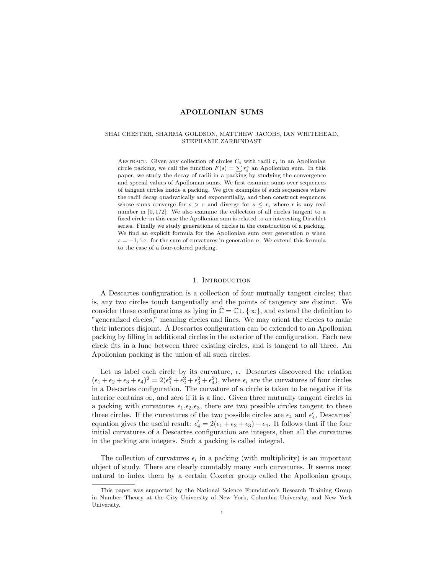## SHAI CHESTER, SHARMA GOLDSON, MATTHEW JACOBS, IAN WHITEHEAD, STEPHANIE ZARRINDAST

ABSTRACT. Given any collection of circles  $C_i$  with radii  $r_i$  in an Apollonian circle packing, we call the function  $F(s) = \sum r_i^s$  an Apollonian sum. In this paper, we study the decay of radii in a packing by studying the convergence and special values of Apollonian sums. We first examine sums over sequences of tangent circles inside a packing. We give examples of such sequences where the radii decay quadratically and exponentially, and then construct sequences whose sums converge for  $s > r$  and diverge for  $s \leq r$ , where r is any real number in  $[0, 1/2]$ . We also examine the collection of all circles tangent to a fixed circle–in this case the Apollonian sum is related to an interesting Dirichlet series. Finally we study generations of circles in the construction of a packing. We find an explicit formula for the Apollonian sum over generation  $n$  when  $s = -1$ , i.e. for the sum of curvatures in generation n. We extend this formula to the case of a four-colored packing.

### 1. INTRODUCTION

A Descartes configuration is a collection of four mutually tangent circles; that is, any two circles touch tangentially and the points of tangency are distinct. We consider these configurations as lying in  $\hat{\mathbb{C}} = \mathbb{C} \cup \{\infty\}$ , and extend the definition to "generalized circles," meaning circles and lines. We may orient the circles to make their interiors disjoint. A Descartes configuration can be extended to an Apollonian packing by filling in additional circles in the exterior of the configuration. Each new circle fits in a lune between three existing circles, and is tangent to all three. An Apollonian packing is the union of all such circles.

Let us label each circle by its curvature,  $\epsilon$ . Descartes discovered the relation  $(\epsilon_1 + \epsilon_2 + \epsilon_3 + \epsilon_4)^2 = 2(\epsilon_1^2 + \epsilon_2^2 + \epsilon_3^2 + \epsilon_4^2)$ , where  $\epsilon_i$  are the curvatures of four circles in a Descartes configuration. The curvature of a circle is taken to be negative if its interior contains  $\infty$ , and zero if it is a line. Given three mutually tangent circles in a packing with curvatures  $\epsilon_1, \epsilon_2, \epsilon_3$ , there are two possible circles tangent to these three circles. If the curvatures of the two possible circles are  $\epsilon_4$  and  $\epsilon'_4$ , Descartes' equation gives the useful result:  $\epsilon'_4 = 2(\epsilon_1 + \epsilon_2 + \epsilon_3) - \epsilon_4$ . It follows that if the four initial curvatures of a Descartes configuration are integers, then all the curvatures in the packing are integers. Such a packing is called integral.

The collection of curvatures  $\epsilon_i$  in a packing (with multiplicity) is an important object of study. There are clearly countably many such curvatures. It seems most natural to index them by a certain Coxeter group called the Apollonian group,

This paper was supported by the National Science Foundation's Research Training Group in Number Theory at the City University of New York, Columbia University, and New York University.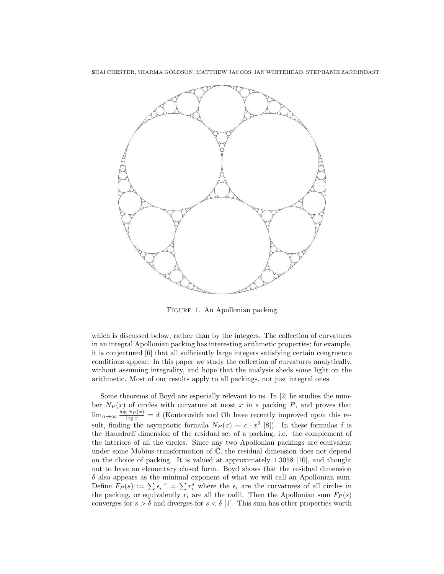2SHAI CHESTER, SHARMA GOLDSON, MATTHEW JACOBS, IAN WHITEHEAD, STEPHANIE ZARRINDAST



Figure 1. An Apollonian packing

which is discussed below, rather than by the integers. The collection of curvatures in an integral Apollonian packing has interesting arithmetic properties; for example, it is conjectured [6] that all sufficiently large integers satisfying certain congruence conditions appear. In this paper we study the collection of curvatures analytically, without assuming integrality, and hope that the analysis sheds some light on the arithmetic. Most of our results apply to all packings, not just integral ones.

Some theorems of Boyd are especially relevant to us. In [2] he studies the number  $N_P(x)$  of circles with curvature at most x in a packing P, and proves that  $\lim_{n\to\infty} \frac{\log N_P(x)}{\log x} = \delta$  (Kontorovich and Oh have recently improved upon this result, finding the asymptotic formula  $N_P(x) \sim c \cdot x^{\delta}$  [8]). In these formulas  $\delta$  is the Hausdorff dimension of the residual set of a packing, i.e. the complement of the interiors of all the circles. Since any two Apollonian packings are equivalent under some Mobius transformation of  $\hat{\mathbb{C}}$ , the residual dimension does not depend on the choice of packing. It is valued at approximately 1.3058 [10], and thought not to have an elementary closed form. Boyd shows that the residual dimension  $\delta$  also appears as the minimal exponent of what we will call an Apollonian sum. Define  $F_P(s) := \sum \epsilon_i^{-s} = \sum r_i^s$  where the  $\epsilon_i$  are the curvatures of all circles in the packing, or equivalently  $r_i$  are all the radii. Then the Apollonian sum  $F_P(s)$ converges for  $s > \delta$  and diverges for  $s < \delta$  [1]. This sum has other properties worth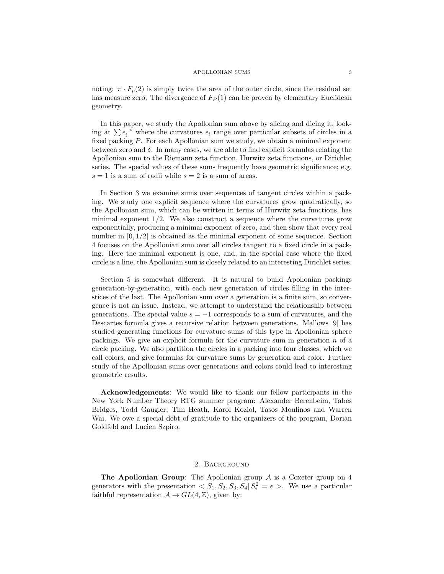noting:  $\pi \cdot F_p(2)$  is simply twice the area of the outer circle, since the residual set has measure zero. The divergence of  $F_P(1)$  can be proven by elementary Euclidean geometry.

In this paper, we study the Apollonian sum above by slicing and dicing it, looking at  $\sum \epsilon_i^{-s}$  where the curvatures  $\epsilon_i$  range over particular subsets of circles in a fixed packing P. For each Apollonian sum we study, we obtain a minimal exponent between zero and  $\delta$ . In many cases, we are able to find explicit formulas relating the Apollonian sum to the Riemann zeta function, Hurwitz zeta functions, or Dirichlet series. The special values of these sums frequently have geometric significance; e.g.  $s = 1$  is a sum of radii while  $s = 2$  is a sum of areas.

In Section 3 we examine sums over sequences of tangent circles within a packing. We study one explicit sequence where the curvatures grow quadratically, so the Apollonian sum, which can be written in terms of Hurwitz zeta functions, has minimal exponent  $1/2$ . We also construct a sequence where the curvatures grow exponentially, producing a minimal exponent of zero, and then show that every real number in  $[0, 1/2]$  is obtained as the minimal exponent of some sequence. Section 4 focuses on the Apollonian sum over all circles tangent to a fixed circle in a packing. Here the minimal exponent is one, and, in the special case where the fixed circle is a line, the Apollonian sum is closely related to an interesting Dirichlet series.

Section 5 is somewhat different. It is natural to build Apollonian packings generation-by-generation, with each new generation of circles filling in the interstices of the last. The Apollonian sum over a generation is a finite sum, so convergence is not an issue. Instead, we attempt to understand the relationship between generations. The special value  $s = -1$  corresponds to a sum of curvatures, and the Descartes formula gives a recursive relation between generations. Mallows [9] has studied generating functions for curvature sums of this type in Apollonian sphere packings. We give an explicit formula for the curvature sum in generation  $n$  of a circle packing. We also partition the circles in a packing into four classes, which we call colors, and give formulas for curvature sums by generation and color. Further study of the Apollonian sums over generations and colors could lead to interesting geometric results.

Acknowledgements: We would like to thank our fellow participants in the New York Number Theory RTG summer program: Alexander Berenbeim, Tabes Bridges, Todd Gaugler, Tim Heath, Karol Koziol, Tasos Moulinos and Warren Wai. We owe a special debt of gratitude to the organizers of the program, Dorian Goldfeld and Lucien Szpiro.

## 2. Background

**The Apollonian Group:** The Apollonian group  $A$  is a Coxeter group on 4 generators with the presentation  $\langle S_1, S_2, S_3, S_4 | S_i^2 = e \rangle$ . We use a particular faithful representation  $A \to GL(4, \mathbb{Z})$ , given by: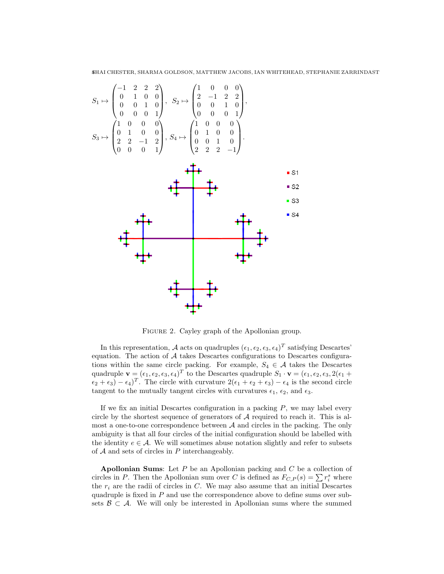−1 2 2 2 1 0 0 0 0 1 0 0 2 −1 2 2 S<sup>1</sup> 7→ , <sup>S</sup><sup>2</sup> 7→ , 0 0 1 0 0 0 1 0 0 0 0 1 0 0 0 1 1 0 0 0 1 0 0 0 0 1 0 0 0 1 0 0 S<sup>3</sup> 7→ , <sup>S</sup><sup>4</sup> 7→ . 2 2 −1 2 0 0 1 0 0 0 0 1 2 2 2 −1 

FIGURE 2. Cayley graph of the Apollonian group.

In this representation, A acts on quadruples  $(\epsilon_1, \epsilon_2, \epsilon_3, \epsilon_4)^T$  satisfying Descartes' equation. The action of  $A$  takes Descartes configurations to Descartes configurations within the same circle packing. For example,  $S_4 \in \mathcal{A}$  takes the Descartes quadruple  $\mathbf{v} = (\epsilon_1, \epsilon_2, \epsilon_3, \epsilon_4)^T$  to the Descartes quadruple  $S_1 \cdot \mathbf{v} = (\epsilon_1, \epsilon_2, \epsilon_3, 2(\epsilon_1 +$  $(\epsilon_2 + \epsilon_3) - (\epsilon_4)^T$ . The circle with curvature  $2(\epsilon_1 + \epsilon_2 + \epsilon_3) - \epsilon_4$  is the second circle tangent to the mutually tangent circles with curvatures  $\epsilon_1$ ,  $\epsilon_2$ , and  $\epsilon_3$ .

If we fix an initial Descartes configuration in a packing  $P$ , we may label every circle by the shortest sequence of generators of  $A$  required to reach it. This is almost a one-to-one correspondence between  $A$  and circles in the packing. The only ambiguity is that all four circles of the initial configuration should be labelled with the identity  $e \in \mathcal{A}$ . We will sometimes abuse notation slightly and refer to subsets of  $A$  and sets of circles in  $P$  interchangeably.

**Apollonian Sums:** Let  $P$  be an Apollonian packing and  $C$  be a collection of circles in P. Then the Apollonian sum over C is defined as  $F_{C,P}(s) = \sum r_i^s$  where the  $r_i$  are the radii of circles in  $C$ . We may also assume that an initial Descartes quadruple is fixed in  $P$  and use the correspondence above to define sums over subsets  $\mathcal{B} \subset \mathcal{A}$ . We will only be interested in Apollonian sums where the summed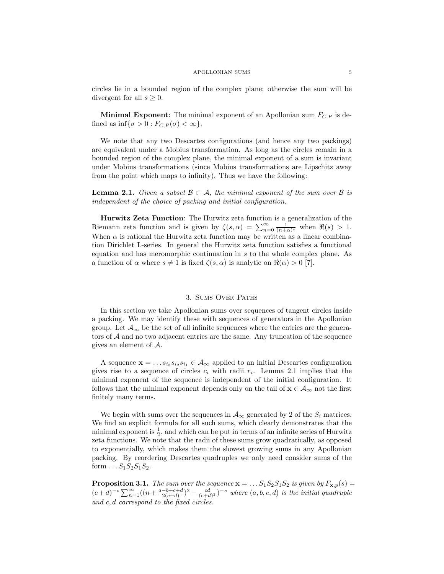circles lie in a bounded region of the complex plane; otherwise the sum will be divergent for all  $s > 0$ .

**Minimal Exponent:** The minimal exponent of an Apollonian sum  $F_{C,P}$  is defined as  $\inf{\sigma > 0 : F_{C,P}(\sigma) < \infty}$ .

We note that any two Descartes configurations (and hence any two packings) are equivalent under a Mobius transformation. As long as the circles remain in a bounded region of the complex plane, the minimal exponent of a sum is invariant under Mobius transformations (since Mobius transformations are Lipschitz away from the point which maps to infinity). Thus we have the following:

**Lemma 2.1.** Given a subset  $\mathcal{B} \subset \mathcal{A}$ , the minimal exponent of the sum over  $\mathcal{B}$  is independent of the choice of packing and initial configuration.

Hurwitz Zeta Function: The Hurwitz zeta function is a generalization of the Riemann zeta function and is given by  $\zeta(s,\alpha) = \sum_{n=0}^{\infty} \frac{1}{(n+\alpha)^s}$  when  $\Re(s) > 1$ . When  $\alpha$  is rational the Hurwitz zeta function may be written as a linear combination Dirichlet L-series. In general the Hurwitz zeta function satisfies a functional equation and has meromorphic continuation in s to the whole complex plane. As a function of  $\alpha$  where  $s \neq 1$  is fixed  $\zeta(s, \alpha)$  is analytic on  $\Re(\alpha) > 0$  [7].

### 3. Sums Over Paths

In this section we take Apollonian sums over sequences of tangent circles inside a packing. We may identify these with sequences of generators in the Apollonian group. Let  $\mathcal{A}_{\infty}$  be the set of all infinite sequences where the entries are the generators of A and no two adjacent entries are the same. Any truncation of the sequence gives an element of A.

A sequence  $\mathbf{x} = \dots s_{i_3} s_{i_2} s_{i_1} \in \mathcal{A}_{\infty}$  applied to an initial Descartes configuration gives rise to a sequence of circles  $c_i$  with radii  $r_i$ . Lemma 2.1 implies that the minimal exponent of the sequence is independent of the initial configuration. It follows that the minimal exponent depends only on the tail of  $\mathbf{x} \in A_{\infty}$  not the first finitely many terms.

We begin with sums over the sequences in  $\mathcal{A}_{\infty}$  generated by 2 of the  $S_i$  matrices. We find an explicit formula for all such sums, which clearly demonstrates that the minimal exponent is  $\frac{1}{2}$ , and which can be put in terms of an infinite series of Hurwitz zeta functions. We note that the radii of these sums grow quadratically, as opposed to exponentially, which makes them the slowest growing sums in any Apollonian packing. By reordering Descartes quadruples we only need consider sums of the form  $\ldots S_1S_2S_1S_2$ .

**Proposition 3.1.** The sum over the sequence  $\mathbf{x} = \dots S_1 S_2 S_1 S_2$  is given by  $F_{\mathbf{x},p}(s) =$  $(c+d)^{-s}\sum_{n=1}^{\infty}((n+\frac{a-b+c+d}{2(c+d)})^2-\frac{cd}{(c+d)^2})^{-s}$  where  $(a,b,c,d)$  is the initial quadruple and c, d correspond to the fixed circles.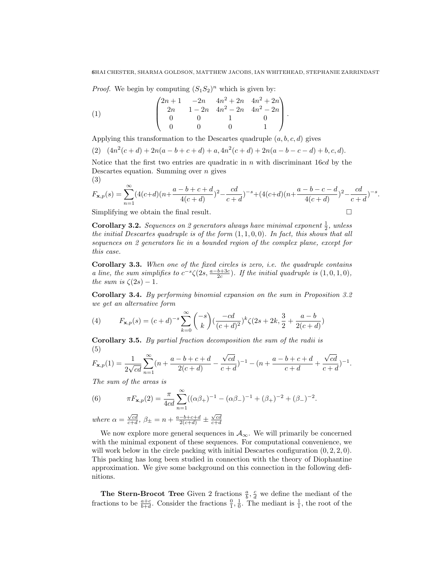*Proof.* We begin by computing  $(S_1S_2)^n$  which is given by:

(1) 
$$
\begin{pmatrix} 2n+1 & -2n & 4n^2+2n & 4n^2+2n \\ 2n & 1-2n & 4n^2-2n & 4n^2-2n \\ 0 & 0 & 1 & 0 \\ 0 & 0 & 0 & 1 \end{pmatrix}.
$$

Applying this transformation to the Descartes quadruple  $(a, b, c, d)$  gives

(2)  $(4n^2(c+d) + 2n(a-b+c+d) + a, 4n^2(c+d) + 2n(a-b-c-d) + b, c, d).$ 

Notice that the first two entries are quadratic in  $n$  with discriminant 16cd by the Descartes equation. Summing over  $n$  gives (3)

$$
F_{\mathbf{x},p}(s) = \sum_{n=1}^{\infty} (4(c+d)(n+\frac{a-b+c+d}{4(c+d)})^2 - \frac{cd}{c+d})^{-s} + (4(c+d)(n+\frac{a-b-c-d}{4(c+d)})^2 - \frac{cd}{c+d})^{-s}.
$$

Simplifying we obtain the final result.  $\Box$ 

**Corollary 3.2.** Sequences on 2 generators always have minimal exponent  $\frac{1}{2}$ , unless the initial Descartes quadruple is of the form  $(1, 1, 0, 0)$ . In fact, this shows that all sequences on 2 generators lie in a bounded region of the complex plane, except for this case.

Corollary 3.3. When one of the fixed circles is zero, i.e. the quadruple contains a line, the sum simplifies to  $c^{-s}\zeta(2s, \frac{a-b+3c}{2c})$ . If the initial quadruple is  $(1,0,1,0)$ , the sum is  $\zeta(2s) - 1$ .

Corollary 3.4. By performing binomial expansion on the sum in Proposition 3.2 we get an alternative form

(4) 
$$
F_{\mathbf{x},p}(s) = (c+d)^{-s} \sum_{k=0}^{\infty} {\binom{-s}{k}} \left(\frac{-cd}{(c+d)^2}\right)^k \zeta(2s+2k, \frac{3}{2} + \frac{a-b}{2(c+d)})
$$

Corollary 3.5. By partial fraction decomposition the sum of the radii is (5) √

$$
F_{\mathbf{x},p}(1) = \frac{1}{2\sqrt{cd}} \sum_{n=1}^{\infty} (n + \frac{a-b+c+d}{2(c+d)} - \frac{\sqrt{cd}}{c+d})^{-1} - (n + \frac{a-b+c+d}{c+d} + \frac{\sqrt{cd}}{c+d})^{-1}.
$$

.

The sum of the areas is

(6) 
$$
\pi F_{\mathbf{x},p}(2) = \frac{\pi}{4cd} \sum_{n=1}^{\infty} ((\alpha \beta_{+})^{-1} - (\alpha \beta_{-})^{-1} + (\beta_{+})^{-2} + (\beta_{-})^{-2}
$$

where  $\alpha = \frac{\sqrt{cd}}{c+d}$ ,  $\beta_{\pm} = n + \frac{a-b+c+d}{2(c+d)} \pm \frac{\sqrt{cd}}{c+d}$ 

We now explore more general sequences in  $A_{\infty}$ . We will primarily be concerned with the minimal exponent of these sequences. For computational convenience, we will work below in the circle packing with initial Descartes configuration  $(0, 2, 2, 0)$ . This packing has long been studied in connection with the theory of Diophantine approximation. We give some background on this connection in the following definitions.

**The Stern-Brocot Tree** Given 2 fractions  $\frac{a}{b}$ ,  $\frac{c}{d}$  we define the mediant of the fractions to be  $\frac{a+c}{b+d}$ . Consider the fractions  $\frac{0}{1}, \frac{1}{0}$ . The mediant is  $\frac{1}{1}$ , the root of the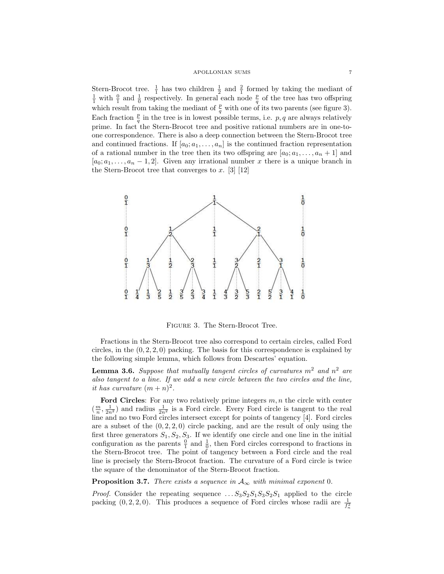Stern-Brocot tree.  $\frac{1}{1}$  has two children  $\frac{1}{2}$  and  $\frac{2}{1}$  formed by taking the mediant of  $\frac{1}{1}$  with  $\frac{0}{1}$  and  $\frac{1}{0}$  respectively. In general each node  $\frac{p}{q}$  of the tree has two offspring which result from taking the mediant of  $\frac{p}{q}$  with one of its two parents (see figure 3). Each fraction  $\frac{p}{q}$  in the tree is in lowest possible terms, i.e. p, q are always relatively prime. In fact the Stern-Brocot tree and positive rational numbers are in one-toone correspondence. There is also a deep connection between the Stern-Brocot tree and continued fractions. If  $[a_0; a_1, \ldots, a_n]$  is the continued fraction representation of a rational number in the tree then its two offspring are  $[a_0; a_1, \ldots, a_n + 1]$  and  $[a_0; a_1, \ldots, a_n-1, 2]$ . Given any irrational number x there is a unique branch in the Stern-Brocot tree that converges to x. [3] [12]



Figure 3. The Stern-Brocot Tree.

Fractions in the Stern-Brocot tree also correspond to certain circles, called Ford circles, in the  $(0, 2, 2, 0)$  packing. The basis for this correspondence is explained by the following simple lemma, which follows from Descartes' equation.

**Lemma 3.6.** Suppose that mutually tangent circles of curvatures  $m^2$  and  $n^2$  are also tangent to a line. If we add a new circle between the two circles and the line, it has curvature  $(m+n)^2$ .

Ford Circles: For any two relatively prime integers  $m, n$  the circle with center  $(\frac{m}{n}, \frac{1}{2n^2})$  and radius  $\frac{1}{2n^2}$  is a Ford circle. Every Ford circle is tangent to the real line and no two Ford circles intersect except for points of tangency [4]. Ford circles are a subset of the  $(0, 2, 2, 0)$  circle packing, and are the result of only using the first three generators  $S_1, S_2, S_3$ . If we identify one circle and one line in the initial configuration as the parents  $\frac{0}{1}$  and  $\frac{1}{0}$ , then Ford circles correspond to fractions in the Stern-Brocot tree. The point of tangency between a Ford circle and the real line is precisely the Stern-Brocot fraction. The curvature of a Ford circle is twice the square of the denominator of the Stern-Brocot fraction.

**Proposition 3.7.** There exists a sequence in  $A_{\infty}$  with minimal exponent 0.

*Proof.* Consider the repeating sequence  $\ldots S_3S_2S_1S_3S_2S_1$  applied to the circle packing  $(0, 2, 2, 0)$ . This produces a sequence of Ford circles whose radii are  $\frac{1}{f_n^2}$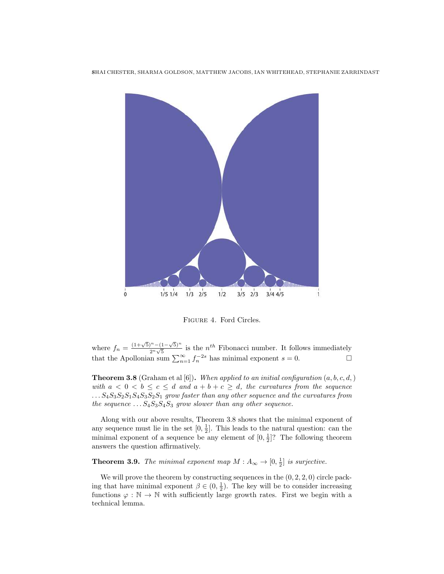8SHAI CHESTER, SHARMA GOLDSON, MATTHEW JACOBS, IAN WHITEHEAD, STEPHANIE ZARRINDAST



Figure 4. Ford Circles.

where  $f_n = \frac{(1+\sqrt{5})^n - (1-\sqrt{5})^n}{2^n \sqrt{5}}$  $\frac{n^2 - (1 - \sqrt{5})^n}{2^n \sqrt{5}}$  is the *n<sup>th</sup>* Fibonacci number. It follows immediately that the Apollonian sum  $\sum_{n=1}^{\infty} f_n^{-2s}$  has minimal exponent  $s = 0$ .

**Theorem 3.8** (Graham et al [6]). When applied to an initial configuration  $(a, b, c, d)$ with  $a < 0 < b \leq c \leq d$  and  $a + b + c \geq d$ , the curvatures from the sequence  $\ldots S_4S_3S_2S_1S_4S_3S_2S_1$  grow faster than any other sequence and the curvatures from the sequence  $... S_4 S_3 S_4 S_3$  grow slower than any other sequence.

Along with our above results, Theorem 3.8 shows that the minimal exponent of any sequence must lie in the set  $[0, \frac{1}{2}]$ . This leads to the natural question: can the minimal exponent of a sequence be any element of  $[0, \frac{1}{2}]$ ? The following theorem answers the question affirmatively.

**Theorem 3.9.** The minimal exponent map  $M : A_{\infty} \to [0, \frac{1}{2}]$  is surjective.

We will prove the theorem by constructing sequences in the  $(0, 2, 2, 0)$  circle packing that have minimal exponent  $\beta \in (0, \frac{1}{2})$ . The key will be to consider increasing functions  $\varphi : \mathbb{N} \to \mathbb{N}$  with sufficiently large growth rates. First we begin with a technical lemma.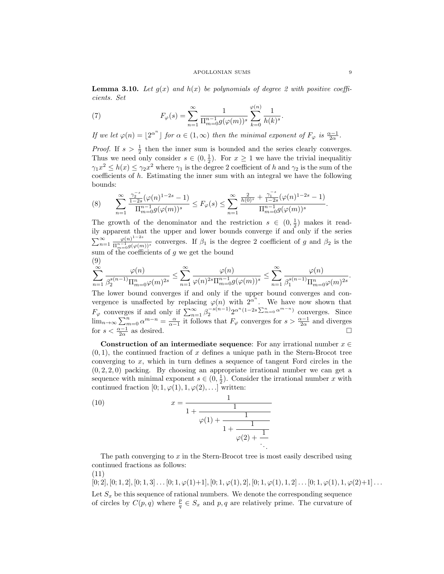**Lemma 3.10.** Let  $g(x)$  and  $h(x)$  be polynomials of degree 2 with positive coefficients. Set

(7) 
$$
F_{\varphi}(s) = \sum_{n=1}^{\infty} \frac{1}{\Pi_{m=0}^{n-1} g(\varphi(m))^{s}} \sum_{k=0}^{\varphi(n)} \frac{1}{h(k)^{s}}.
$$

If we let  $\varphi(n) = \lfloor 2^{\alpha^n} \rfloor$  for  $\alpha \in (1, \infty)$  then the minimal exponent of  $F_{\varphi}$  is  $\frac{\alpha - 1}{2\alpha}$ .

*Proof.* If  $s > \frac{1}{2}$  then the inner sum is bounded and the series clearly converges. Thus we need only consider  $s \in (0, \frac{1}{2})$ . For  $x \geq 1$  we have the trivial inequalitiy  $\gamma_1 x^2 \leq h(x) \leq \gamma_2 x^2$  where  $\gamma_1$  is the degree 2 coefficient of h and  $\gamma_2$  is the sum of the coefficients of  $h$ . Estimating the inner sum with an integral we have the following bounds:

$$
(8) \qquad \sum_{n=1}^{\infty}\frac{\frac{\gamma_{2}^{-s}}{1-2s}(\varphi(n)^{1-2s}-1)}{\Pi_{m=0}^{n-1}g(\varphi(m))^{s}}\leq F_{\varphi}(s)\leq \sum_{n=1}^{\infty}\frac{\frac{2}{h(0)^{s}}+\frac{\gamma_{1}^{-s}}{1-2s}(\varphi(n)^{1-2s}-1)}{\Pi_{m=0}^{n-1}g(\varphi(m))^{s}}.
$$

The growth of the denominator and the restriction  $s \in (0, \frac{1}{2})$  makes it readily apparent that the upper and lower bounds converge if and only if the series  $\sum_{n=1}^{\infty} \frac{\varphi(n)^{1-2s}}{\Pi^{n-1}g(\varphi(m))}$  $\frac{\varphi(n)}{\prod_{m=0}^{n-1} g(\varphi(m))^s}$  converges. If  $\beta_1$  is the degree 2 coefficient of g and  $\beta_2$  is the sum of the coefficients of  $q$  we get the bound (9)

$$
\sum_{n=1}^{+\infty} \frac{\varphi(n)}{\beta_2^{s(n-1)} \Pi_{m=0}^n \varphi(m)^{2s}} \le \sum_{n=1}^{\infty} \frac{\varphi(n)}{\varphi(n)^{2s} \Pi_{m=0}^{n-1} g(\varphi(m))^s} \le \sum_{n=1}^{\infty} \frac{\varphi(n)}{\beta_1^{s(n-1)} \Pi_{m=0}^n \varphi(m)^{2s}}
$$

The lower bound converges if and only if the upper bound converges and convergence is unaffected by replacing  $\varphi(n)$  with  $2^{\alpha^n}$ . We have now shown that  $F_{\varphi}$  converges if and only if  $\sum_{n=1}^{\infty} \beta_2^{-s(n-1)} 2^{\alpha^n (1-2s \sum_{m=0}^n \alpha^{m-n})}$  converges. Since  $\lim_{n\to\infty}\sum_{m=0}^n\alpha^{m-n}=\frac{\alpha}{\alpha-1}$  it follows that  $F_\varphi$  converges for  $s>\frac{\alpha-1}{2\alpha}$  and diverges for  $s < \frac{\alpha - 1}{2\alpha}$ as desired.  $\Box$ 

Construction of an intermediate sequence: For any irrational number  $x \in \mathbb{R}$  $(0, 1)$ , the continued fraction of x defines a unique path in the Stern-Brocot tree converging to  $x$ , which in turn defines a sequence of tangent Ford circles in the  $(0, 2, 2, 0)$  packing. By choosing an appropriate irrational number we can get a sequence with minimal exponent  $s \in (0, \frac{1}{2})$ . Consider the irrational number x with continued fraction  $[0; 1, \varphi(1), 1, \varphi(2), \ldots]$  written:

(10) 
$$
x = \frac{1}{1 + \frac{1}{\varphi(1) + \frac{1}{1 + \frac{1}{\varphi(2) + \frac{1}{\ddots}}}}}
$$

The path converging to x in the Stern-Brocot tree is most easily described using continued fractions as follows:

(11)

 $[0; 2], [0; 1, 2], [0; 1, 3], \ldots [0; 1, \varphi(1) + 1], [0; 1, \varphi(1), 2], [0; 1, \varphi(1), 1, 2], \ldots [0; 1, \varphi(1), 1, \varphi(2) + 1] \ldots$ Let  $S_x$  be this sequence of rational numbers. We denote the corresponding sequence of circles by  $C(p,q)$  where  $\frac{p}{q} \in S_x$  and p, q are relatively prime. The curvature of

.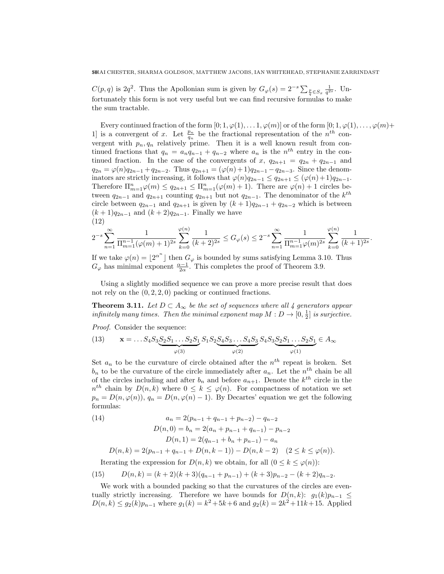$C(p,q)$  is  $2q^2$ . Thus the Apollonian sum is given by  $G_{\varphi}(s) = 2^{-s} \sum_{\frac{p}{q} \in S_x} \frac{1}{q^{2s}}$ . Unfortunately this form is not very useful but we can find recursive formulas to make the sum tractable.

Every continued fraction of the form  $[0; 1, \varphi(1), \ldots, 1, \varphi(m)]$  or of the form  $[0; 1, \varphi(1), \ldots, \varphi(m)]$ 1] is a convergent of x. Let  $\frac{p_n}{q_n}$  be the fractional representation of the  $n^{th}$  convergent with  $p_n, q_n$  relatively prime. Then it is a well known result from continued fractions that  $q_n = a_n q_{n-1} + q_{n-2}$  where  $a_n$  is the  $n^{th}$  entry in the continued fraction. In the case of the convergents of x,  $q_{2n+1} = q_{2n} + q_{2n-1}$  and  $q_{2n} = \varphi(n)q_{2n-1} + q_{2n-2}$ . Thus  $q_{2n+1} = (\varphi(n)+1)q_{2n-1} - q_{2n-3}$ . Since the denominators are strictly increasing, it follows that  $\varphi(n)q_{2n-1} \leq q_{2n+1} \leq (\varphi(n)+1)q_{2n-1}$ . Therefore  $\Pi_{m=1}^n \varphi(m) \leq q_{2n+1} \leq \Pi_{m=1}^n (\varphi(m) + 1)$ . There are  $\varphi(n) + 1$  circles between  $q_{2n-1}$  and  $q_{2n+1}$  counting  $q_{2n+1}$  but not  $q_{2n-1}$ . The denominator of the  $k^{th}$ circle between  $q_{2n-1}$  and  $q_{2n+1}$  is given by  $(k+1)q_{2n-1} + q_{2n-2}$  which is between  $(k + 1)q_{2n-1}$  and  $(k + 2)q_{2n-1}$ . Finally we have (12)

$$
2^{-s} \sum_{n=1}^{\infty} \frac{1}{\Pi_{m=1}^{n-1} (\varphi(m)+1)^{2s}} \sum_{k=0}^{\varphi(n)} \frac{1}{(k+2)^{2s}} \le G_{\varphi}(s) \le 2^{-s} \sum_{n=1}^{\infty} \frac{1}{\Pi_{m=1}^{n-1} \varphi(m)^{2s}} \sum_{k=0}^{\varphi(n)} \frac{1}{(k+1)^{2s}}.
$$

If we take  $\varphi(n) = \lfloor 2^{\alpha^n} \rfloor$  then  $G_{\varphi}$  is bounded by sums satisfying Lemma 3.10. Thus  $G_{\varphi}$  has minimal exponent  $\frac{\alpha-1}{2\alpha}$ . This completes the proof of Theorem 3.9.

Using a slightly modified sequence we can prove a more precise result that does not rely on the  $(0, 2, 2, 0)$  packing or continued fractions.

**Theorem 3.11.** Let  $D \subset A_{\infty}$  be the set of sequences where all 4 generators appear infinitely many times. Then the minimal exponent map  $M: D \to [0, \frac{1}{2}]$  is surjective.

Proof. Consider the sequence:

(13) 
$$
\mathbf{x} = \dots S_4 S_3 \underbrace{S_2 S_1 \dots S_2 S_1}_{\varphi(3)} S_1 S_2 \underbrace{S_4 S_3 \dots S_4 S_3}_{\varphi(2)} S_4 S_3 \underbrace{S_2 S_1 \dots S_2 S_1}_{\varphi(1)} \in A_{\infty}
$$

Set  $a_n$  to be the curvature of circle obtained after the  $n^{th}$  repeat is broken. Set  $b_n$  to be the curvature of the circle immediately after  $a_n$ . Let the  $n^{th}$  chain be all of the circles including and after  $b_n$  and before  $a_{n+1}$ . Denote the  $k^{th}$  circle in the  $n^{th}$  chain by  $D(n,k)$  where  $0 \leq k \leq \varphi(n)$ . For compactness of notation we set  $p_n = D(n, \varphi(n)), q_n = D(n, \varphi(n) - 1)$ . By Decartes' equation we get the following formulas:

(14) 
$$
a_n = 2(p_{n-1} + q_{n-1} + p_{n-2}) - q_{n-2}
$$

$$
D(n, 0) = b_n = 2(a_n + p_{n-1} + q_{n-1}) - p_{n-2}
$$

$$
D(n, 1) = 2(q_{n-1} + b_n + p_{n-1}) - a_n
$$

$$
D(n, k) = 2(p_{n-1} + q_{n-1} + D(n, k - 1)) - D(n, k - 2) \quad (2 \le k \le \varphi(n)).
$$

Iterating the expression for  $D(n, k)$  we obtain, for all  $(0 \leq k \leq \varphi(n))$ :

(15) 
$$
D(n,k) = (k+2)(k+3)(q_{n-1} + p_{n-1}) + (k+3)p_{n-2} - (k+2)q_{n-2}.
$$

We work with a bounded packing so that the curvatures of the circles are eventually strictly increasing. Therefore we have bounds for  $D(n, k)$ :  $g_1(k)p_{n-1} \leq$  $D(n,k) \le g_2(k)p_{n-1}$  where  $g_1(k) = k^2 + 5k + 6$  and  $g_2(k) = 2k^2 + 11k + 15$ . Applied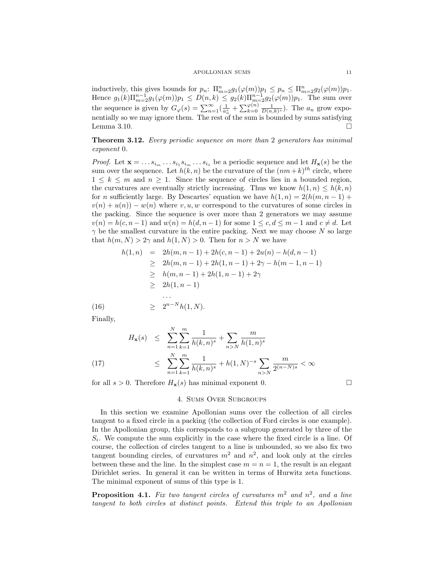inductively, this gives bounds for  $p_n: \Pi_{m=2}^n g_1(\varphi(m))p_1 \leq p_n \leq \Pi_{m=2}^n g_2(\varphi(m))p_1$ . Hence  $g_1(k)\Pi_{m=2}^{n-1}g_1(\varphi(m))p_1 \leq D(n,k) \leq g_2(k)\Pi_{m=2}^{n-1}g_2(\varphi(m))p_1$ . The sum over the sequence is given by  $G_{\varphi}(s) = \sum_{n=1}^{\infty} \left( \frac{1}{a_n^s} + \sum_{k=0}^{\varphi(n)} \frac{1}{D(n,k)^s} \right)$ . The  $a_n$  grow exponentially so we may ignore them. The rest of the sum is bounded by sums satisfying Lemma 3.10.  $\Box$ 

Theorem 3.12. Every periodic sequence on more than 2 generators has minimal exponent 0.

*Proof.* Let  $\mathbf{x} = \ldots s_{i_m} \ldots s_{i_1} s_{i_m} \ldots s_{i_1}$  be a periodic sequence and let  $H_{\mathbf{x}}(s)$  be the sum over the sequence. Let  $h(k, n)$  be the curvature of the  $(nm+k)^{th}$  circle, where  $1 \leq k \leq m$  and  $n \geq 1$ . Since the sequence of circles lies in a bounded region, the curvatures are eventually strictly increasing. Thus we know  $h(1, n) \leq h(k, n)$ for n sufficiently large. By Descartes' equation we have  $h(1, n) = 2(h(m, n - 1) +$  $v(n) + u(n) - w(n)$  where v, u, w correspond to the curvatures of some circles in the packing. Since the sequence is over more than 2 generators we may assume  $v(n) = h(c, n-1)$  and  $w(n) = h(d, n-1)$  for some  $1 \leq c, d \leq m-1$  and  $c \neq d$ . Let  $\gamma$  be the smallest curvature in the entire packing. Next we may choose N so large that  $h(m, N) > 2\gamma$  and  $h(1, N) > 0$ . Then for  $n > N$  we have

$$
h(1, n) = 2h(m, n - 1) + 2h(c, n - 1) + 2u(n) - h(d, n - 1)
$$
  
\n
$$
\geq 2h(m, n - 1) + 2h(1, n - 1) + 2\gamma - h(m - 1, n - 1)
$$
  
\n
$$
\geq h(m, n - 1) + 2h(1, n - 1) + 2\gamma
$$
  
\n
$$
\geq 2h(1, n - 1)
$$
  
\n...  
\n(16)  
\n
$$
\geq 2^{n-N}h(1, N).
$$

Finally,

$$
H_{\mathbf{x}}(s) \leq \sum_{n=1}^{N} \sum_{k=1}^{m} \frac{1}{h(k,n)^s} + \sum_{n>N} \frac{m}{h(1,n)^s}
$$
  

$$
\leq \sum_{n=1}^{N} \sum_{k=1}^{m} \frac{1}{h(k,n)^s} + h(1,N)^{-s} \sum_{n>N} \frac{m}{2^{(n-N)s}} < \infty
$$

for all  $s > 0$ . Therefore  $H_{\mathbf{x}}(s)$  has minimal exponent 0.

## 4. Sums Over Subgroups

In this section we examine Apollonian sums over the collection of all circles tangent to a fixed circle in a packing (the collection of Ford circles is one example). In the Apollonian group, this corresponds to a subgroup generated by three of the  $S_i$ . We compute the sum explicitly in the case where the fixed circle is a line. Of course, the collection of circles tangent to a line is unbounded, so we also fix two tangent bounding circles, of curvatures  $m^2$  and  $n^2$ , and look only at the circles between these and the line. In the simplest case  $m = n = 1$ , the result is an elegant Dirichlet series. In general it can be written in terms of Hurwitz zeta functions. The minimal exponent of sums of this type is 1.

**Proposition 4.1.** Fix two tangent circles of curvatures  $m^2$  and  $n^2$ , and a line tangent to both circles at distinct points. Extend this triple to an Apollonian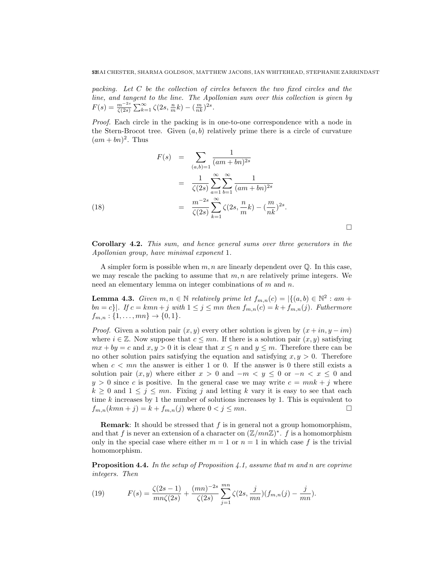packing. Let  $C$  be the collection of circles between the two fixed circles and the line, and tangent to the line. The Apollonian sum over this collection is given by  $F(s) = \frac{m^{-2s}}{\zeta(2s)} \sum_{k=1}^{\infty} \zeta(2s, \frac{n}{m}k) - (\frac{m}{nk})^{2s}.$ 

Proof. Each circle in the packing is in one-to-one correspondence with a node in the Stern-Brocot tree. Given  $(a, b)$  relatively prime there is a circle of curvature  $(am + bn)^2$ . Thus

(18)  
\n
$$
F(s) = \sum_{(a,b)=1} \frac{1}{(am + bn)^{2s}}
$$
\n
$$
= \frac{1}{\zeta(2s)} \sum_{a=1}^{\infty} \sum_{b=1}^{\infty} \frac{1}{(am + bn)^{2s}}
$$
\n
$$
= \frac{m^{-2s}}{\zeta(2s)} \sum_{k=1}^{\infty} \zeta(2s, \frac{n}{m}k) - (\frac{m}{nk})^{2s}.
$$

Corollary 4.2. This sum, and hence general sums over three generators in the Apollonian group, have minimal exponent 1.

 $\Box$ 

A simpler form is possible when  $m, n$  are linearly dependent over  $\mathbb Q$ . In this case, we may rescale the packing to assume that  $m, n$  are relatively prime integers. We need an elementary lemma on integer combinations of m and n.

**Lemma 4.3.** Given  $m, n \in \mathbb{N}$  relatively prime let  $f_{m,n}(c) = |\{(a, b) \in \mathbb{N}^2 : am +$  $bn = c$ . If  $c = kmn + j$  with  $1 \le j \le mn$  then  $f_{m,n}(c) = k + f_{m,n}(j)$ . Futhermore  $f_{m,n}: \{1,\ldots,mn\} \to \{0,1\}.$ 

*Proof.* Given a solution pair  $(x, y)$  every other solution is given by  $(x + in, y - im)$ where  $i \in \mathbb{Z}$ . Now suppose that  $c \leq mn$ . If there is a solution pair  $(x, y)$  satisfying  $mx + by = c$  and  $x, y > 0$  it is clear that  $x \leq n$  and  $y \leq m$ . Therefore there can be no other solution pairs satisfying the equation and satisfying  $x, y > 0$ . Therefore when  $c < mn$  the answer is either 1 or 0. If the answer is 0 there still exists a solution pair  $(x, y)$  where either  $x > 0$  and  $-m < y \leq 0$  or  $-n < x \leq 0$  and  $y > 0$  since c is positive. In the general case we may write  $c = mnk + j$  where  $k \geq 0$  and  $1 \leq j \leq mn$ . Fixing j and letting k vary it is easy to see that each time  $k$  increases by 1 the number of solutions increases by 1. This is equivalent to  $f_{m,n}(kmn + j) = k + f_{m,n}(j)$  where  $0 < j \leq mn$ .

**Remark:** It should be stressed that  $f$  is in general not a group homomorphism, and that f is never an extension of a character on  $(\mathbb{Z}/mn\mathbb{Z})^*$ . f is a homomorphism only in the special case where either  $m = 1$  or  $n = 1$  in which case f is the trivial homomorphism.

**Proposition 4.4.** In the setup of Proposition 4.1, assume that m and n are coprime integers. Then

(19) 
$$
F(s) = \frac{\zeta(2s-1)}{mn\zeta(2s)} + \frac{(mn)^{-2s}}{\zeta(2s)} \sum_{j=1}^{mn} \zeta(2s, \frac{j}{mn})(f_{m,n}(j) - \frac{j}{mn}).
$$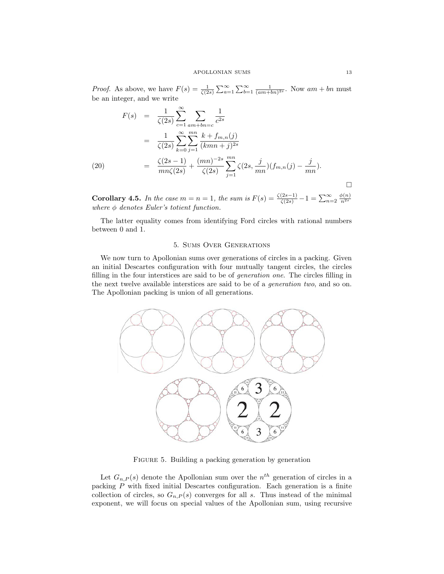*Proof.* As above, we have  $F(s) = \frac{1}{\zeta(2s)} \sum_{a=1}^{\infty} \sum_{b=1}^{\infty} \frac{1}{(am + bn)^{2s}}$ . Now  $am + bn$  must be an integer, and we write

$$
F(s) = \frac{1}{\zeta(2s)} \sum_{c=1}^{\infty} \sum_{am+bn=c} \frac{1}{c^{2s}}
$$
  
= 
$$
\frac{1}{\zeta(2s)} \sum_{k=0}^{\infty} \sum_{j=1}^{mn} \frac{k + f_{m,n}(j)}{(kmn + j)^{2s}}
$$
  
(20) = 
$$
\frac{\zeta(2s-1)}{mn\zeta(2s)} + \frac{(mn)^{-2s}}{\zeta(2s)} \sum_{j=1}^{mn} \zeta(2s, \frac{j}{mn})(f_{m,n}(j) - \frac{j}{mn}).
$$

Corollary 4.5. In the case  $m = n = 1$ , the sum is  $F(s) = \frac{\zeta(2s-1)}{\zeta(2s)} - 1 = \sum_{n=2}^{\infty} \frac{\phi(n)}{n^{2s}}$ where  $\phi$  denotes Euler's totient function.

The latter equality comes from identifying Ford circles with rational numbers between 0 and 1.

# 5. Sums Over Generations

We now turn to Apollonian sums over generations of circles in a packing. Given an initial Descartes configuration with four mutually tangent circles, the circles filling in the four interstices are said to be of generation one. The circles filling in the next twelve available interstices are said to be of a generation two, and so on. The Apollonian packing is union of all generations.



FIGURE 5. Building a packing generation by generation

Let  $G_{n,P}(s)$  denote the Apollonian sum over the  $n^{th}$  generation of circles in a packing  $P$  with fixed initial Descartes configuration. Each generation is a finite collection of circles, so  $G_{n,P}(s)$  converges for all s. Thus instead of the minimal exponent, we will focus on special values of the Apollonian sum, using recursive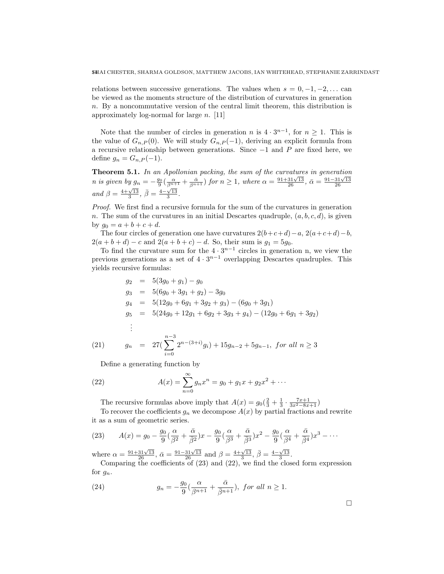relations between successive generations. The values when  $s = 0, -1, -2, \ldots$  can be viewed as the moments structure of the distribution of curvatures in generation n. By a noncommutative version of the central limit theorem, this distribution is approximately log-normal for large  $n$ . [11]

Note that the number of circles in generation n is  $4 \cdot 3^{n-1}$ , for  $n \ge 1$ . This is the value of  $G_{n,P}(0)$ . We will study  $G_{n,P}(-1)$ , deriving an explicit formula from a recursive relationship between generations. Since  $-1$  and P are fixed here, we define  $g_n = G_{n,P}(-1)$ .

Theorem 5.1. In an Apollonian packing, the sum of the curvatures in generation **n** is given by  $g_n = -\frac{g_0}{9}(\frac{\alpha}{\beta^{n+1}} + \frac{\bar{\alpha}}{\beta^{n+1}})$  for n ≥ 1, where  $\alpha = \frac{91+31\sqrt{13}}{26}$ ,  $\bar{\alpha} = \frac{91-31\sqrt{13}}{26}$ and  $\beta = \frac{4+\sqrt{13}}{3}, \bar{\beta} = \frac{4-\sqrt{13}}{3}.$ 

Proof. We first find a recursive formula for the sum of the curvatures in generation n. The sum of the curvatures in an initial Descartes quadruple,  $(a, b, c, d)$ , is given by  $g_0 = a + b + c + d$ .

The four circles of generation one have curvatures  $2(b+c+d)-a$ ,  $2(a+c+d)-b$ ,  $2(a + b + d) - c$  and  $2(a + b + c) - d$ . So, their sum is  $g_1 = 5g_0$ .

To find the curvature sum for the  $4 \cdot 3^{n-1}$  circles in generation n, we view the previous generations as a set of  $4 \cdot 3^{n-1}$  overlapping Descartes quadruples. This yields recursive formulas:

$$
g_2 = 5(3g_0 + g_1) - g_0
$$
  
\n
$$
g_3 = 5(6g_0 + 3g_1 + g_2) - 3g_0
$$
  
\n
$$
g_4 = 5(12g_0 + 6g_1 + 3g_2 + g_3) - (6g_0 + 3g_1)
$$
  
\n
$$
g_5 = 5(24g_0 + 12g_1 + 6g_2 + 3g_3 + g_4) - (12g_0 + 6g_1 + 3g_2)
$$
  
\n
$$
\vdots
$$
  
\n
$$
n-3
$$

(21) 
$$
g_n = 27\left(\sum_{i=0}^{n-3} 2^{n-(3+i)}g_i\right) + 15g_{n-2} + 5g_{n-1}, \text{ for all } n \ge 3
$$

Define a generating function by

(22) 
$$
A(x) = \sum_{n=0}^{\infty} g_n x^n = g_0 + g_1 x + g_2 x^2 + \cdots
$$

The recursive formulas above imply that  $A(x) = g_0(\frac{2}{3} + \frac{1}{3} \cdot \frac{7x+1}{3x^2-8x+1})$ 

To recover the coefficients  $g_n$  we decompose  $A(x)$  by partial fractions and rewrite it as a sum of geometric series.

(23) 
$$
A(x) = g_0 - \frac{g_0}{9} \left( \frac{\alpha}{\beta^2} + \frac{\bar{\alpha}}{\bar{\beta}^2} \right) x - \frac{g_0}{9} \left( \frac{\alpha}{\beta^3} + \frac{\bar{\alpha}}{\bar{\beta}^3} \right) x^2 - \frac{g_0}{9} \left( \frac{\alpha}{\beta^4} + \frac{\bar{\alpha}}{\bar{\beta}^4} \right) x^3 - \cdots
$$

where  $\alpha = \frac{91+31\sqrt{13}}{26}$ ,  $\bar{\alpha} = \frac{91-31\sqrt{13}}{26}$  and  $\beta = \frac{4+\sqrt{13}}{3}$ ,  $\bar{\beta} = \frac{4-\sqrt{13}}{3}$ .

Comparing the coefficients of (23) and (22), we find the closed form expression for  $g_n$ .

(24) 
$$
g_n = -\frac{g_0}{9} \left( \frac{\alpha}{\beta^{n+1}} + \frac{\bar{\alpha}}{\bar{\beta}^{n+1}} \right), \text{ for all } n \ge 1.
$$

 $\Box$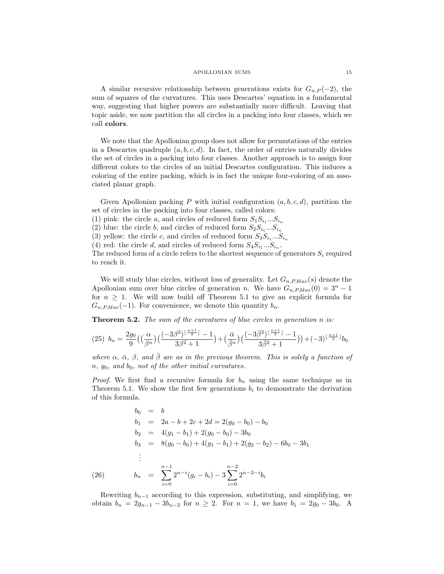A similar recursive relationship between generations exists for  $G_{n,P}(-2)$ , the sum of squares of the curvatures. This uses Descartes' equation in a fundamental way, suggesting that higher powers are substantially more difficult. Leaving that topic aside, we now partition the all circles in a packing into four classes, which we call colors.

We note that the Apollonian group does not allow for permutations of the entries in a Descartes quadruple  $(a, b, c, d)$ . In fact, the order of entries naturally divides the set of circles in a packing into four classes. Another approach is to assign four different colors to the circles of an initial Descartes configuration. This induces a coloring of the entire packing, which is in fact the unique four-coloring of an associated planar graph.

Given Apollonian packing P with initial configuration  $(a, b, c, d)$ , partition the set of circles in the packing into four classes, called colors:

(1) pink: the circle a, and circles of reduced form  $S_1 S_{i_1} ... S_{i_n}$ 

(2) blue: the circle b, and circles of reduced form  $S_2S_{i_1}...S_{i_n}$ 

(3) yellow: the circle c, and circles of reduced form  $S_3S_{i_1}...S_{i_n}$ 

(4) red: the circle d, and circles of reduced form  $S_4S_{i_1}...S_{i_n}$ .

The reduced form of a circle refers to the shortest sequence of generators  $S_i$  required to reach it.

We will study blue circles, without loss of generality. Let  $G_{n,P,blue}(s)$  denote the Apollonian sum over blue circles of generation n. We have  $G_{n,P,blue}(0) = 3^n - 1$ for  $n \geq 1$ . We will now build off Theorem 5.1 to give an explicit formula for  $G_{n,P,blue}(-1)$ . For convenience, we denote this quantity  $b_n$ .

Theorem 5.2. The sum of the curvatures of blue circles in generation n is:

$$
(25)\ \ b_n = \frac{2g_0}{9} \left( \left( \frac{\alpha}{\beta^n} \right) \left( \frac{(-3\beta^2)^{\lfloor \frac{n+1}{2} \rfloor} - 1}{3\beta^2 + 1} \right) + \left( \frac{\bar{\alpha}}{\bar{\beta}^n} \right) \left( \frac{(-3\bar{\beta}^2)^{\lfloor \frac{n+1}{2} \rfloor} - 1}{3\bar{\beta}^2 + 1} \right) \right) + (-3)^{\lfloor \frac{n+1}{2} \rfloor} b_0
$$

where  $\alpha$ ,  $\bar{\alpha}$ ,  $\beta$ , and  $\bar{\beta}$  are as in the previous theorem. This is solely a function of  $n, g_0, and b_0, not of the other initial curvatures.$ 

*Proof.* We first find a recursive formula for  $b_n$  using the same technique as in Theorem 5.1. We show the first few generations  $b_i$  to demonstrate the derivation of this formula.

$$
b_0 = b
$$
  
\n
$$
b_1 = 2a - b + 2c + 2d = 2(g_0 - b_0) - b_0
$$
  
\n
$$
b_2 = 4(g_1 - b_1) + 2(g_0 - b_0) - 3b_0
$$
  
\n
$$
b_3 = 8(g_0 - b_0) + 4(g_1 - b_1) + 2(g_2 - b_2) - 6b_0 - 3b_1
$$
  
\n:  
\n:  
\n(26) 
$$
b_n = \sum_{i=0}^{n-1} 2^{n-i} (g_i - b_i) - 3 \sum_{i=0}^{n-2} 2^{n-2-i} b_i
$$

Rewriting  $b_{n-1}$  according to this expression, substituting, and simplifying, we obtain  $b_n = 2g_{n-1} - 3b_{n-2}$  for  $n \ge 2$ . For  $n = 1$ , we have  $b_1 = 2g_0 - 3b_0$ . A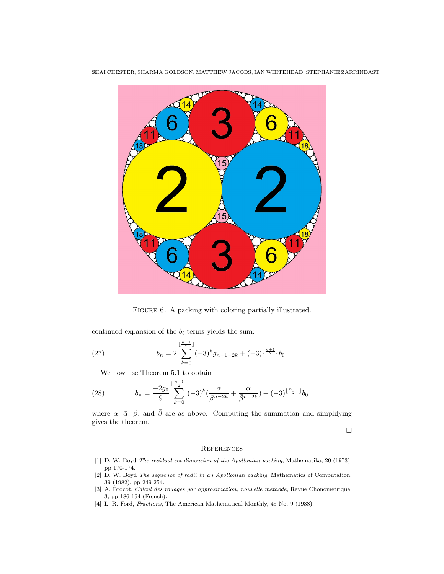

16SHAI CHESTER, SHARMA GOLDSON, MATTHEW JACOBS, IAN WHITEHEAD, STEPHANIE ZARRINDAST

FIGURE 6. A packing with coloring partially illustrated.

continued expansion of the  $b_i$  terms yields the sum:

(27) 
$$
b_n = 2 \sum_{k=0}^{\lfloor \frac{n-1}{2} \rfloor} (-3)^k g_{n-1-2k} + (-3)^{\lfloor \frac{n+1}{2} \rfloor} b_0.
$$

We now use Theorem 5.1 to obtain

(28) 
$$
b_n = \frac{-2g_0}{9} \sum_{k=0}^{\lfloor \frac{n-1}{2} \rfloor} (-3)^k \left( \frac{\alpha}{\beta^{n-2k}} + \frac{\bar{\alpha}}{\bar{\beta}^{n-2k}} \right) + (-3)^{\lfloor \frac{n+1}{2} \rfloor} b_0
$$

where  $\alpha$ ,  $\bar{\alpha}$ ,  $\beta$ , and  $\bar{\beta}$  are as above. Computing the summation and simplifying gives the theorem.

 $\Box$ 

### **REFERENCES**

- [1] D. W. Boyd The residual set dimension of the Apollonian packing, Mathematika, 20 (1973), pp 170-174.
- [2] D. W. Boyd The sequence of radii in an Apollonian packing, Mathematics of Computation, 39 (1982), pp 249-254.
- [3] A. Brocot, Calcul des rouages par approximation, nouvelle methode, Revue Chonometrique, 3, pp 186-194 (French).
- [4] L. R. Ford, Fractions, The American Mathematical Monthly, 45 No. 9 (1938).